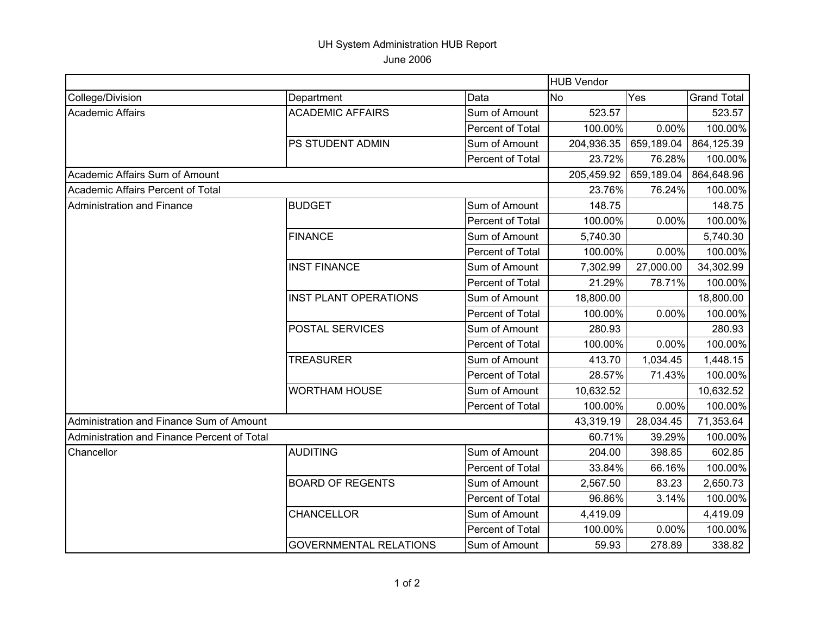## UH System Administration HUB Report June 2006

|                                             |                               |                         | <b>HUB Vendor</b> |            |                    |
|---------------------------------------------|-------------------------------|-------------------------|-------------------|------------|--------------------|
| College/Division                            | Department                    | Data                    | <b>No</b>         | Yes        | <b>Grand Total</b> |
| <b>Academic Affairs</b>                     | <b>ACADEMIC AFFAIRS</b>       | Sum of Amount           | 523.57            |            | 523.57             |
|                                             |                               | Percent of Total        | 100.00%           | $0.00\%$   | 100.00%            |
|                                             | PS STUDENT ADMIN              | Sum of Amount           | 204,936.35        | 659,189.04 | 864,125.39         |
|                                             |                               | Percent of Total        | 23.72%            | 76.28%     | 100.00%            |
| Academic Affairs Sum of Amount              |                               |                         | 205,459.92        | 659,189.04 | 864,648.96         |
| Academic Affairs Percent of Total           |                               |                         | 23.76%            | 76.24%     | 100.00%            |
| Administration and Finance                  | <b>BUDGET</b>                 | Sum of Amount           | 148.75            |            | 148.75             |
|                                             |                               | Percent of Total        | 100.00%           | 0.00%      | 100.00%            |
|                                             | <b>FINANCE</b>                | Sum of Amount           | 5,740.30          |            | 5,740.30           |
|                                             |                               | <b>Percent of Total</b> | 100.00%           | 0.00%      | 100.00%            |
|                                             | <b>INST FINANCE</b>           | Sum of Amount           | 7,302.99          | 27,000.00  | 34,302.99          |
|                                             |                               | Percent of Total        | 21.29%            | 78.71%     | 100.00%            |
|                                             | <b>INST PLANT OPERATIONS</b>  | Sum of Amount           | 18,800.00         |            | 18,800.00          |
|                                             |                               | Percent of Total        | 100.00%           | 0.00%      | 100.00%            |
|                                             | <b>POSTAL SERVICES</b>        | Sum of Amount           | 280.93            |            | 280.93             |
|                                             |                               | Percent of Total        | 100.00%           | 0.00%      | 100.00%            |
|                                             | <b>TREASURER</b>              | Sum of Amount           | 413.70            | 1,034.45   | 1,448.15           |
|                                             |                               | Percent of Total        | 28.57%            | 71.43%     | 100.00%            |
|                                             | <b>WORTHAM HOUSE</b>          | Sum of Amount           | 10,632.52         |            | 10,632.52          |
|                                             |                               | Percent of Total        | 100.00%           | 0.00%      | 100.00%            |
| Administration and Finance Sum of Amount    |                               |                         | 43,319.19         | 28,034.45  | 71,353.64          |
| Administration and Finance Percent of Total |                               |                         | 60.71%            | 39.29%     | 100.00%            |
| Chancellor                                  | <b>AUDITING</b>               | Sum of Amount           | 204.00            | 398.85     | 602.85             |
|                                             |                               | Percent of Total        | 33.84%            | 66.16%     | 100.00%            |
|                                             | <b>BOARD OF REGENTS</b>       | Sum of Amount           | 2,567.50          | 83.23      | 2,650.73           |
|                                             |                               | Percent of Total        | 96.86%            | 3.14%      | 100.00%            |
|                                             | <b>CHANCELLOR</b>             | Sum of Amount           | 4,419.09          |            | 4,419.09           |
|                                             |                               | Percent of Total        | 100.00%           | 0.00%      | 100.00%            |
|                                             | <b>GOVERNMENTAL RELATIONS</b> | Sum of Amount           | 59.93             | 278.89     | 338.82             |